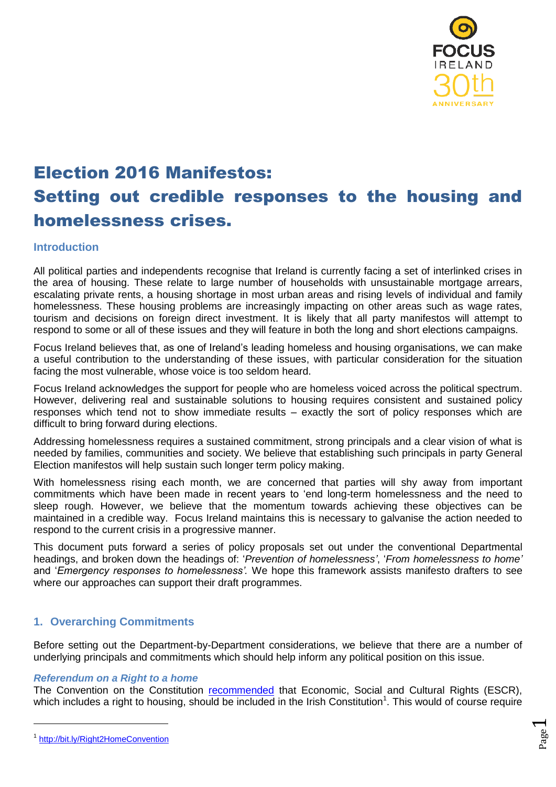

# Election 2016 Manifestos: Setting out credible responses to the housing and homelessness crises.

# **Introduction**

All political parties and independents recognise that Ireland is currently facing a set of interlinked crises in the area of housing. These relate to large number of households with unsustainable mortgage arrears, escalating private rents, a housing shortage in most urban areas and rising levels of individual and family homelessness. These housing problems are increasingly impacting on other areas such as wage rates, tourism and decisions on foreign direct investment. It is likely that all party manifestos will attempt to respond to some or all of these issues and they will feature in both the long and short elections campaigns.

Focus Ireland believes that, as one of Ireland's leading homeless and housing organisations, we can make a useful contribution to the understanding of these issues, with particular consideration for the situation facing the most vulnerable, whose voice is too seldom heard.

Focus Ireland acknowledges the support for people who are homeless voiced across the political spectrum. However, delivering real and sustainable solutions to housing requires consistent and sustained policy responses which tend not to show immediate results – exactly the sort of policy responses which are difficult to bring forward during elections.

Addressing homelessness requires a sustained commitment, strong principals and a clear vision of what is needed by families, communities and society. We believe that establishing such principals in party General Election manifestos will help sustain such longer term policy making.

With homelessness rising each month, we are concerned that parties will shy away from important commitments which have been made in recent years to 'end long-term homelessness and the need to sleep rough. However, we believe that the momentum towards achieving these objectives can be maintained in a credible way. Focus Ireland maintains this is necessary to galvanise the action needed to respond to the current crisis in a progressive manner.

This document puts forward a series of policy proposals set out under the conventional Departmental headings, and broken down the headings of: '*Prevention of homelessness'*, '*From homelessness to home'* and '*Emergency responses to homelessness'.* We hope this framework assists manifesto drafters to see where our approaches can support their draft programmes.

# **1. Overarching Commitments**

Before setting out the Department-by-Department considerations, we believe that there are a number of underlying principals and commitments which should help inform any political position on this issue.

#### *Referendum on a Right to a home*

The Convention on the Constitution [recommended](https://www.constitution.ie/AttachmentDownload.ashx?mid=5333bbe7-a9b8-e311-a7ce-005056a32ee4) that Economic, Social and Cultural Rights (ESCR), which includes a right to housing, should be included in the Irish Constitution<sup>1</sup>. This would of course require

 $\overline{a}$ 

<sup>&</sup>lt;sup>1</sup> <http://bit.ly/Right2HomeConvention>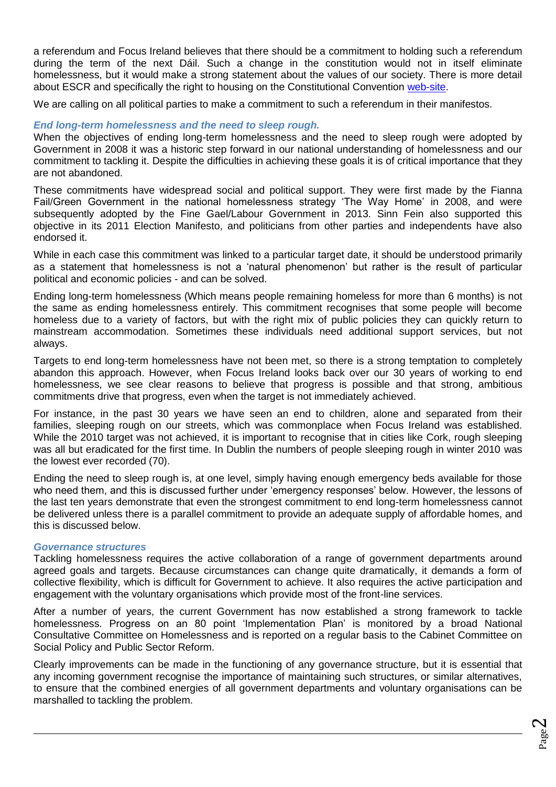a referendum and Focus Ireland believes that there should be a commitment to holding such a referendum during the term of the next Dáil. Such a change in the constitution would not in itself eliminate homelessness, but it would make a strong statement about the values of our society. There is more detail about ESCR and specifically the right to housing on the Constitutional Convention [web-site.](https://www.constitution.ie/)

We are calling on all political parties to make a commitment to such a referendum in their manifestos.

# *End long-term homelessness and the need to sleep rough.*

When the objectives of ending long-term homelessness and the need to sleep rough were adopted by Government in 2008 it was a historic step forward in our national understanding of homelessness and our commitment to tackling it. Despite the difficulties in achieving these goals it is of critical importance that they are not abandoned.

These commitments have widespread social and political support. They were first made by the Fianna Fail/Green Government in the national homelessness strategy 'The Way Home' in 2008, and were subsequently adopted by the Fine Gael/Labour Government in 2013. Sinn Fein also supported this objective in its 2011 Election Manifesto, and politicians from other parties and independents have also endorsed it.

While in each case this commitment was linked to a particular target date, it should be understood primarily as a statement that homelessness is not a 'natural phenomenon' but rather is the result of particular political and economic policies - and can be solved.

Ending long-term homelessness (Which means people remaining homeless for more than 6 months) is not the same as ending homelessness entirely. This commitment recognises that some people will become homeless due to a variety of factors, but with the right mix of public policies they can quickly return to mainstream accommodation. Sometimes these individuals need additional support services, but not always.

Targets to end long-term homelessness have not been met, so there is a strong temptation to completely abandon this approach. However, when Focus Ireland looks back over our 30 years of working to end homelessness, we see clear reasons to believe that progress is possible and that strong, ambitious commitments drive that progress, even when the target is not immediately achieved.

For instance, in the past 30 years we have seen an end to children, alone and separated from their families, sleeping rough on our streets, which was commonplace when Focus Ireland was established. While the 2010 target was not achieved, it is important to recognise that in cities like Cork, rough sleeping was all but eradicated for the first time. In Dublin the numbers of people sleeping rough in winter 2010 was the lowest ever recorded (70).

Ending the need to sleep rough is, at one level, simply having enough emergency beds available for those who need them, and this is discussed further under 'emergency responses' below. However, the lessons of the last ten years demonstrate that even the strongest commitment to end long-term homelessness cannot be delivered unless there is a parallel commitment to provide an adequate supply of affordable homes, and this is discussed below.

#### *Governance structures*

-

Tackling homelessness requires the active collaboration of a range of government departments around agreed goals and targets. Because circumstances can change quite dramatically, it demands a form of collective flexibility, which is difficult for Government to achieve. It also requires the active participation and engagement with the voluntary organisations which provide most of the front-line services.

After a number of years, the current Government has now established a strong framework to tackle homelessness. Progress on an 80 point 'Implementation Plan' is monitored by a broad National Consultative Committee on Homelessness and is reported on a regular basis to the Cabinet Committee on Social Policy and Public Sector Reform.

Clearly improvements can be made in the functioning of any governance structure, but it is essential that any incoming government recognise the importance of maintaining such structures, or similar alternatives, to ensure that the combined energies of all government departments and voluntary organisations can be marshalled to tackling the problem.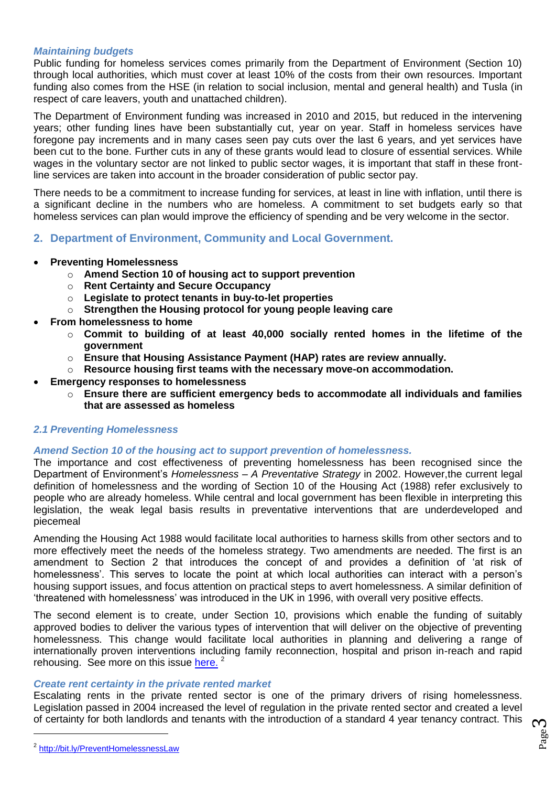# *Maintaining budgets*

Public funding for homeless services comes primarily from the Department of Environment (Section 10) through local authorities, which must cover at least 10% of the costs from their own resources. Important funding also comes from the HSE (in relation to social inclusion, mental and general health) and Tusla (in respect of care leavers, youth and unattached children).

The Department of Environment funding was increased in 2010 and 2015, but reduced in the intervening years; other funding lines have been substantially cut, year on year. Staff in homeless services have foregone pay increments and in many cases seen pay cuts over the last 6 years, and yet services have been cut to the bone. Further cuts in any of these grants would lead to closure of essential services. While wages in the voluntary sector are not linked to public sector wages, it is important that staff in these frontline services are taken into account in the broader consideration of public sector pay.

There needs to be a commitment to increase funding for services, at least in line with inflation, until there is a significant decline in the numbers who are homeless. A commitment to set budgets early so that homeless services can plan would improve the efficiency of spending and be very welcome in the sector.

- **2. Department of Environment, Community and Local Government.**
- **Preventing Homelessness**
	- o **Amend Section 10 of housing act to support prevention**
	- o **Rent Certainty and Secure Occupancy**
	- o **Legislate to protect tenants in buy-to-let properties**
	- o **Strengthen the Housing protocol for young people leaving care**
- **From homelessness to home**
	- o **Commit to building of at least 40,000 socially rented homes in the lifetime of the government**
	- o **Ensure that Housing Assistance Payment (HAP) rates are review annually.**
	- o **Resource housing first teams with the necessary move-on accommodation.**
- **Emergency responses to homelessness**
	- o **Ensure there are sufficient emergency beds to accommodate all individuals and families that are assessed as homeless**

#### *2.1 Preventing Homelessness*

#### *Amend Section 10 of the housing act to support prevention of homelessness.*

The importance and cost effectiveness of preventing homelessness has been recognised since the Department of Environment's *Homelessness – A Preventative Strategy* in 2002. However,the current legal definition of homelessness and the wording of Section 10 of the Housing Act (1988) refer exclusively to people who are already homeless. While central and local government has been flexible in interpreting this legislation, the weak legal basis results in preventative interventions that are underdeveloped and piecemeal

Amending the Housing Act 1988 would facilitate local authorities to harness skills from other sectors and to more effectively meet the needs of the homeless strategy. Two amendments are needed. The first is an amendment to Section 2 that introduces the concept of and provides a definition of 'at risk of homelessness'. This serves to locate the point at which local authorities can interact with a person's housing support issues, and focus attention on practical steps to avert homelessness. A similar definition of 'threatened with homelessness' was introduced in the UK in 1996, with overall very positive effects.

The second element is to create, under Section 10, provisions which enable the funding of suitably approved bodies to deliver the various types of intervention that will deliver on the objective of preventing homelessness. This change would facilitate local authorities in planning and delivering a range of internationally proven interventions including family reconnection, hospital and prison in-reach and rapid rehousing. See more on this issue [here.](https://www.focusireland.ie/files/preventing%20homelessness-section%2010%20housing%20act%201988%2010%20jan%2012.pdf)<sup>2</sup>

#### *Create rent certainty in the private rented market*

Escalating rents in the private rented sector is one of the primary drivers of rising homelessness. Legislation passed in 2004 increased the level of regulation in the private rented sector and created a level of certainty for both landlords and tenants with the introduction of a standard 4 year tenancy contract. This

<sup>&</sup>lt;sup>2</sup> <http://bit.ly/PreventHomelessnessLaw>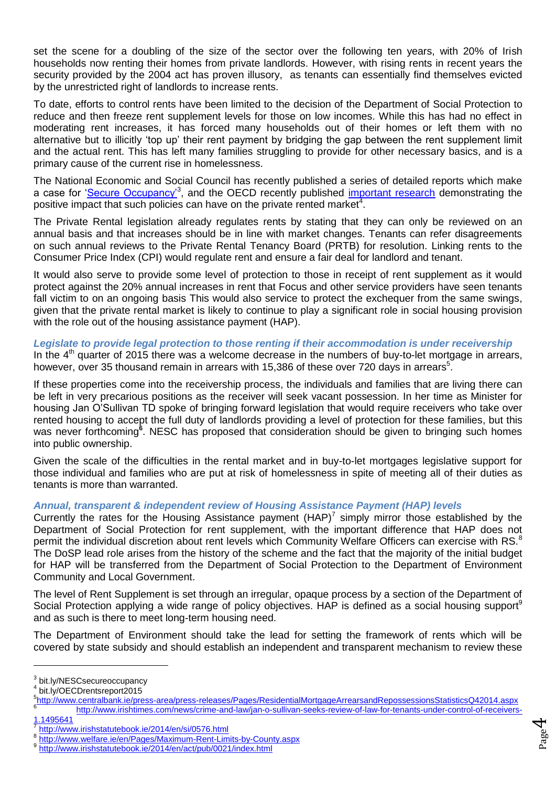set the scene for a doubling of the size of the sector over the following ten years, with 20% of Irish households now renting their homes from private landlords. However, with rising rents in recent years the security provided by the 2004 act has proven illusory, as tenants can essentially find themselves evicted by the unrestricted right of landlords to increase rents.

To date, efforts to control rents have been limited to the decision of the Department of Social Protection to reduce and then freeze rent supplement levels for those on low incomes. While this has had no effect in moderating rent increases, it has forced many households out of their homes or left them with no alternative but to illicitly 'top up' their rent payment by bridging the gap between the rent supplement limit and the actual rent. This has left many families struggling to provide for other necessary basics, and is a primary cause of the current rise in homelessness.

The National Economic and Social Council has recently published a series of detailed reports which make a case for ['Secure Occupancy'](file:///C:/Users/connollya/AppData/Local/Microsoft/Windows/Temporary%20Internet%20Files/Content.Outlook/FAL35K6L/bit.ly/NESCsecureoccupancy)<sup>3</sup>, and the OECD recently published *important research* demonstrating the positive impact that such policies can have on the private rented market<sup>4</sup>.

The Private Rental legislation already regulates rents by stating that they can only be reviewed on an annual basis and that increases should be in line with market changes. Tenants can refer disagreements on such annual reviews to the Private Rental Tenancy Board (PRTB) for resolution. Linking rents to the Consumer Price Index (CPI) would regulate rent and ensure a fair deal for landlord and tenant.

It would also serve to provide some level of protection to those in receipt of rent supplement as it would protect against the 20% annual increases in rent that Focus and other service providers have seen tenants fall victim to on an ongoing basis This would also service to protect the exchequer from the same swings, given that the private rental market is likely to continue to play a significant role in social housing provision with the role out of the housing assistance payment (HAP).

*Legislate to provide legal protection to those renting if their accommodation is under receivership* In the  $4<sup>th</sup>$  quarter of 2015 there was a welcome decrease in the numbers of buy-to-let mortgage in arrears, however, over 35 thousand remain in arrears with 15,386 of these over 720 days in arrears<sup>5</sup>.

If these properties come into the receivership process, the individuals and families that are living there can be left in very precarious positions as the receiver will seek vacant possession. In her time as Minister for housing Jan O'Sullivan TD spoke of bringing forward legislation that would require receivers who take over rented housing to accept the full duty of landlords providing a level of protection for these families, but this was never forthcoming<sup>6</sup>. NESC has proposed that consideration should be given to bringing such homes into public ownership.

Given the scale of the difficulties in the rental market and in buy-to-let mortgages legislative support for those individual and families who are put at risk of homelessness in spite of meeting all of their duties as tenants is more than warranted.

# *Annual, transparent & independent review of Housing Assistance Payment (HAP) levels*

Currently the rates for the Housing Assistance payment  $(HAP)^7$  simply mirror those established by the Department of Social Protection for rent supplement, with the important difference that HAP does not permit the individual discretion about rent levels which Community Welfare Officers can exercise with RS.<sup>8</sup> The DoSP lead role arises from the history of the scheme and the fact that the majority of the initial budget for HAP will be transferred from the Department of Social Protection to the Department of Environment Community and Local Government.

The level of Rent Supplement is set through an irregular, opaque process by a section of the Department of Social Protection applying a wide range of policy objectives. HAP is defined as a social housing support<sup>9</sup> and as such is there to meet long-term housing need.

The Department of Environment should take the lead for setting the framework of rents which will be covered by state subsidy and should establish an independent and transparent mechanism to review these

[1.1495641](http://www.irishtimes.com/news/crime-and-law/jan-o-sullivan-seeks-review-of-law-for-tenants-under-control-of-receivers-1.1495641)

-

<http://www.welfare.ie/en/Pages/Maximum-Rent-Limits-by-County.aspx>

<sup>&</sup>lt;sup>3</sup> bit.ly/NESCsecureoccupancy

<sup>4</sup> bit.ly/OECDrentsreport2015

<sup>&</sup>lt;sup>5</sup><http://www.centralbank.ie/press-area/press-releases/Pages/ResidentialMortgageArrearsandRepossessionsStatisticsQ42014.aspx><br>6<br>bttp://www.centralbank.ie/press-area/press-releases/Pages/ResidentialMortgageArrearsandReposses [http://www.irishtimes.com/news/crime-and-law/jan-o-sullivan-seeks-review-of-law-for-tenants-under-control-of-receivers-](http://www.irishtimes.com/news/crime-and-law/jan-o-sullivan-seeks-review-of-law-for-tenants-under-control-of-receivers-1.1495641)

<sup>7</sup> <http://www.irishstatutebook.ie/2014/en/si/0576.html> 8

<sup>9</sup> <http://www.irishstatutebook.ie/2014/en/act/pub/0021/index.html>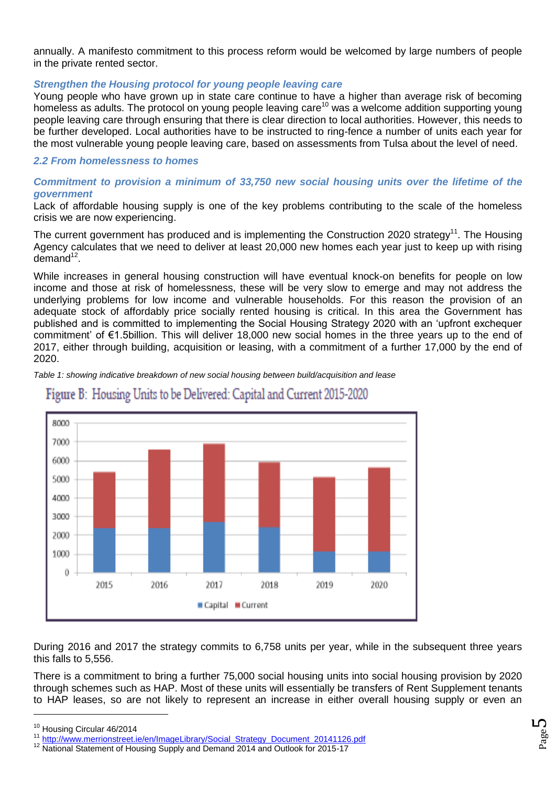annually. A manifesto commitment to this process reform would be welcomed by large numbers of people in the private rented sector.

# *Strengthen the Housing protocol for young people leaving care*

Young people who have grown up in state care continue to have a higher than average risk of becoming homeless as adults. The protocol on young people leaving care<sup>10</sup> was a welcome addition supporting young people leaving care through ensuring that there is clear direction to local authorities. However, this needs to be further developed. Local authorities have to be instructed to ring-fence a number of units each year for the most vulnerable young people leaving care, based on assessments from Tulsa about the level of need.

# *2.2 From homelessness to homes*

# *Commitment to provision a minimum of 33,750 new social housing units over the lifetime of the government*

Lack of affordable housing supply is one of the key problems contributing to the scale of the homeless crisis we are now experiencing.

The current government has produced and is implementing the Construction 2020 strategy<sup>11</sup>. The Housing Agency calculates that we need to deliver at least 20,000 new homes each year just to keep up with rising demand<sup>12</sup>.

While increases in general housing construction will have eventual knock-on benefits for people on low income and those at risk of homelessness, these will be very slow to emerge and may not address the underlying problems for low income and vulnerable households. For this reason the provision of an adequate stock of affordably price socially rented housing is critical. In this area the Government has published and is committed to implementing the Social Housing Strategy 2020 with an 'upfront exchequer commitment' of €1.5billion. This will deliver 18,000 new social homes in the three years up to the end of 2017, either through building, acquisition or leasing, with a commitment of a further 17,000 by the end of 2020.

*Table 1: showing indicative breakdown of new social housing between build/acquisition and lease*



# Figure B: Housing Units to be Delivered: Capital and Current 2015-2020

During 2016 and 2017 the strategy commits to 6,758 units per year, while in the subsequent three years this falls to 5,556.

There is a commitment to bring a further 75,000 social housing units into social housing provision by 2020 through schemes such as HAP. Most of these units will essentially be transfers of Rent Supplement tenants to HAP leases, so are not likely to represent an increase in either overall housing supply or even an

<sup>10</sup> Housing Circular 46/2014

<sup>11</sup> [http://www.merrionstreet.ie/en/ImageLibrary/Social\\_Strategy\\_Document\\_20141126.pdf](http://www.merrionstreet.ie/en/ImageLibrary/Social_Strategy_Document_20141126.pdf)

<sup>12</sup> National Statement of Housing Supply and Demand 2014 and Outlook for 2015-17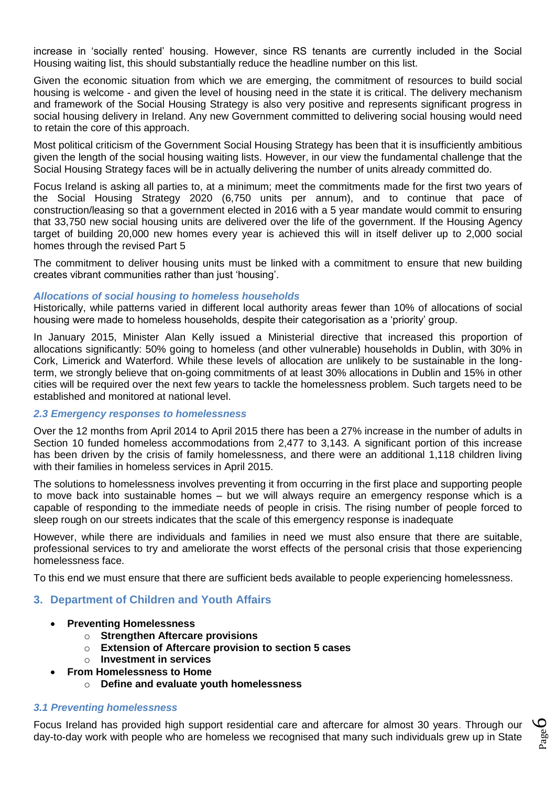increase in 'socially rented' housing. However, since RS tenants are currently included in the Social Housing waiting list, this should substantially reduce the headline number on this list.

Given the economic situation from which we are emerging, the commitment of resources to build social housing is welcome - and given the level of housing need in the state it is critical. The delivery mechanism and framework of the Social Housing Strategy is also very positive and represents significant progress in social housing delivery in Ireland. Any new Government committed to delivering social housing would need to retain the core of this approach.

Most political criticism of the Government Social Housing Strategy has been that it is insufficiently ambitious given the length of the social housing waiting lists. However, in our view the fundamental challenge that the Social Housing Strategy faces will be in actually delivering the number of units already committed do.

Focus Ireland is asking all parties to, at a minimum; meet the commitments made for the first two years of the Social Housing Strategy 2020 (6,750 units per annum), and to continue that pace of construction/leasing so that a government elected in 2016 with a 5 year mandate would commit to ensuring that 33,750 new social housing units are delivered over the life of the government. If the Housing Agency target of building 20,000 new homes every year is achieved this will in itself deliver up to 2,000 social homes through the revised Part 5

The commitment to deliver housing units must be linked with a commitment to ensure that new building creates vibrant communities rather than just 'housing'.

## *Allocations of social housing to homeless households*

Historically, while patterns varied in different local authority areas fewer than 10% of allocations of social housing were made to homeless households, despite their categorisation as a 'priority' group.

In January 2015, Minister Alan Kelly issued a Ministerial directive that increased this proportion of allocations significantly: 50% going to homeless (and other vulnerable) households in Dublin, with 30% in Cork, Limerick and Waterford. While these levels of allocation are unlikely to be sustainable in the longterm, we strongly believe that on-going commitments of at least 30% allocations in Dublin and 15% in other cities will be required over the next few years to tackle the homelessness problem. Such targets need to be established and monitored at national level.

#### *2.3 Emergency responses to homelessness*

Over the 12 months from April 2014 to April 2015 there has been a 27% increase in the number of adults in Section 10 funded homeless accommodations from 2,477 to 3,143. A significant portion of this increase has been driven by the crisis of family homelessness, and there were an additional 1,118 children living with their families in homeless services in April 2015.

The solutions to homelessness involves preventing it from occurring in the first place and supporting people to move back into sustainable homes – but we will always require an emergency response which is a capable of responding to the immediate needs of people in crisis. The rising number of people forced to sleep rough on our streets indicates that the scale of this emergency response is inadequate

However, while there are individuals and families in need we must also ensure that there are suitable, professional services to try and ameliorate the worst effects of the personal crisis that those experiencing homelessness face.

To this end we must ensure that there are sufficient beds available to people experiencing homelessness.

# **3. Department of Children and Youth Affairs**

- **Preventing Homelessness**
	- o **Strengthen Aftercare provisions**
	- o **Extension of Aftercare provision to section 5 cases**
	- o **Investment in services**
	- **From Homelessness to Home**
		- o **Define and evaluate youth homelessness**

#### *3.1 Preventing homelessness*

Focus Ireland has provided high support residential care and aftercare for almost 30 years. Through our day-to-day work with people who are homeless we recognised that many such individuals grew up in State

Page  $\mathcal{O}$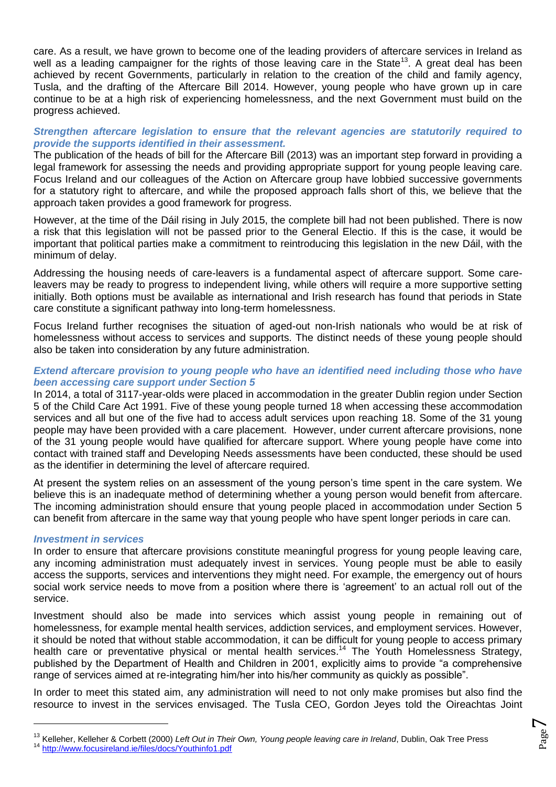care. As a result, we have grown to become one of the leading providers of aftercare services in Ireland as well as a leading campaigner for the rights of those leaving care in the State<sup>13</sup>. A great deal has been achieved by recent Governments, particularly in relation to the creation of the child and family agency, Tusla, and the drafting of the Aftercare Bill 2014. However, young people who have grown up in care continue to be at a high risk of experiencing homelessness, and the next Government must build on the progress achieved.

# *Strengthen aftercare legislation to ensure that the relevant agencies are statutorily required to provide the supports identified in their assessment.*

The publication of the heads of bill for the Aftercare Bill (2013) was an important step forward in providing a legal framework for assessing the needs and providing appropriate support for young people leaving care. Focus Ireland and our colleagues of the Action on Aftercare group have lobbied successive governments for a statutory right to aftercare, and while the proposed approach falls short of this, we believe that the approach taken provides a good framework for progress.

However, at the time of the Dáil rising in July 2015, the complete bill had not been published. There is now a risk that this legislation will not be passed prior to the General Electio. If this is the case, it would be important that political parties make a commitment to reintroducing this legislation in the new Dáil, with the minimum of delay.

Addressing the housing needs of care-leavers is a fundamental aspect of aftercare support. Some careleavers may be ready to progress to independent living, while others will require a more supportive setting initially. Both options must be available as international and Irish research has found that periods in State care constitute a significant pathway into long-term homelessness.

Focus Ireland further recognises the situation of aged-out non-Irish nationals who would be at risk of homelessness without access to services and supports. The distinct needs of these young people should also be taken into consideration by any future administration.

# *Extend aftercare provision to young people who have an identified need including those who have been accessing care support under Section 5*

In 2014, a total of 3117-year-olds were placed in accommodation in the greater Dublin region under Section 5 of the Child Care Act 1991. Five of these young people turned 18 when accessing these accommodation services and all but one of the five had to access adult services upon reaching 18. Some of the 31 young people may have been provided with a care placement. However, under current aftercare provisions, none of the 31 young people would have qualified for aftercare support. Where young people have come into contact with trained staff and Developing Needs assessments have been conducted, these should be used as the identifier in determining the level of aftercare required.

At present the system relies on an assessment of the young person's time spent in the care system. We believe this is an inadequate method of determining whether a young person would benefit from aftercare. The incoming administration should ensure that young people placed in accommodation under Section 5 can benefit from aftercare in the same way that young people who have spent longer periods in care can.

# *Investment in services*

 $\overline{a}$ 

In order to ensure that aftercare provisions constitute meaningful progress for young people leaving care, any incoming administration must adequately invest in services. Young people must be able to easily access the supports, services and interventions they might need. For example, the emergency out of hours social work service needs to move from a position where there is 'agreement' to an actual roll out of the service.

Investment should also be made into services which assist young people in remaining out of homelessness, for example mental health services, addiction services, and employment services. However, it should be noted that without stable accommodation, it can be difficult for young people to access primary health care or preventative physical or mental health services.<sup>14</sup> The Youth Homelessness Strategy, published by the Department of Health and Children in 2001, explicitly aims to provide "a comprehensive range of services aimed at re-integrating him/her into his/her community as quickly as possible".

In order to meet this stated aim, any administration will need to not only make promises but also find the resource to invest in the services envisaged. The Tusla CEO, Gordon Jeyes told the Oireachtas Joint

<sup>13</sup> Kelleher, Kelleher & Corbett (2000) *Left Out in Their Own, Young people leaving care in Ireland*, Dublin, Oak Tree Press <sup>14</sup> <http://www.focusireland.ie/files/docs/Youthinfo1.pdf>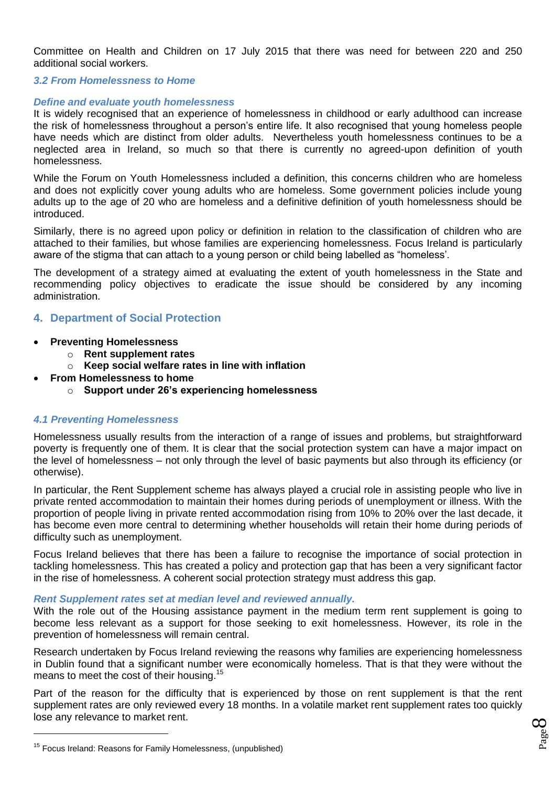Committee on Health and Children on 17 July 2015 that there was need for between 220 and 250 additional social workers.

## *3.2 From Homelessness to Home*

#### *Define and evaluate youth homelessness*

It is widely recognised that an experience of homelessness in childhood or early adulthood can increase the risk of homelessness throughout a person's entire life. It also recognised that young homeless people have needs which are distinct from older adults. Nevertheless youth homelessness continues to be a neglected area in Ireland, so much so that there is currently no agreed-upon definition of youth homelessness.

While the Forum on Youth Homelessness included a definition, this concerns children who are homeless and does not explicitly cover young adults who are homeless. Some government policies include young adults up to the age of 20 who are homeless and a definitive definition of youth homelessness should be introduced.

Similarly, there is no agreed upon policy or definition in relation to the classification of children who are attached to their families, but whose families are experiencing homelessness. Focus Ireland is particularly aware of the stigma that can attach to a young person or child being labelled as "homeless'.

The development of a strategy aimed at evaluating the extent of youth homelessness in the State and recommending policy objectives to eradicate the issue should be considered by any incoming administration.

# **4. Department of Social Protection**

- **Preventing Homelessness**
	- o **Rent supplement rates**
	- o **Keep social welfare rates in line with inflation**
- **From Homelessness to home**
	- o **Support under 26's experiencing homelessness**

#### *4.1 Preventing Homelessness*

Homelessness usually results from the interaction of a range of issues and problems, but straightforward poverty is frequently one of them. It is clear that the social protection system can have a major impact on the level of homelessness – not only through the level of basic payments but also through its efficiency (or otherwise).

In particular, the Rent Supplement scheme has always played a crucial role in assisting people who live in private rented accommodation to maintain their homes during periods of unemployment or illness. With the proportion of people living in private rented accommodation rising from 10% to 20% over the last decade, it has become even more central to determining whether households will retain their home during periods of difficulty such as unemployment.

Focus Ireland believes that there has been a failure to recognise the importance of social protection in tackling homelessness. This has created a policy and protection gap that has been a very significant factor in the rise of homelessness. A coherent social protection strategy must address this gap.

#### *Rent Supplement rates set at median level and reviewed annually.*

With the role out of the Housing assistance payment in the medium term rent supplement is going to become less relevant as a support for those seeking to exit homelessness. However, its role in the prevention of homelessness will remain central.

Research undertaken by Focus Ireland reviewing the reasons why families are experiencing homelessness in Dublin found that a significant number were economically homeless. That is that they were without the means to meet the cost of their housing.<sup>15</sup>

Part of the reason for the difficulty that is experienced by those on rent supplement is that the rent supplement rates are only reviewed every 18 months. In a volatile market rent supplement rates too quickly lose any relevance to market rent.

<sup>&</sup>lt;sup>15</sup> Focus Ireland: Reasons for Family Homelessness, (unpublished)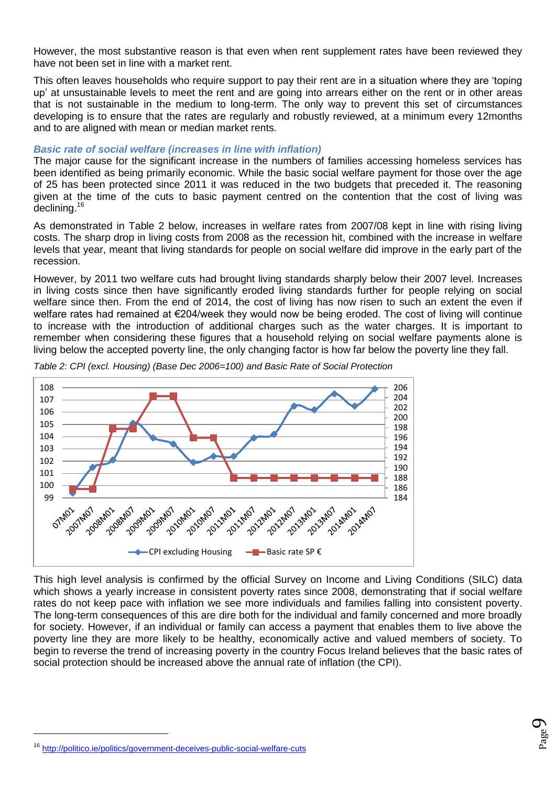However, the most substantive reason is that even when rent supplement rates have been reviewed they have not been set in line with a market rent.

This often leaves households who require support to pay their rent are in a situation where they are 'toping up' at unsustainable levels to meet the rent and are going into arrears either on the rent or in other areas that is not sustainable in the medium to long-term. The only way to prevent this set of circumstances developing is to ensure that the rates are regularly and robustly reviewed, at a minimum every 12months and to are aligned with mean or median market rents.

#### *Basic rate of social welfare (increases in line with inflation)*

The major cause for the significant increase in the numbers of families accessing homeless services has been identified as being primarily economic. While the basic social welfare payment for those over the age of 25 has been protected since 2011 it was reduced in the two budgets that preceded it. The reasoning given at the time of the cuts to basic payment centred on the contention that the cost of living was declining.<sup>16</sup>

As demonstrated in Table 2 below, increases in welfare rates from 2007/08 kept in line with rising living costs. The sharp drop in living costs from 2008 as the recession hit, combined with the increase in welfare levels that year, meant that living standards for people on social welfare did improve in the early part of the recession.

However, by 2011 two welfare cuts had brought living standards sharply below their 2007 level. Increases in living costs since then have significantly eroded living standards further for people relying on social welfare since then. From the end of 2014, the cost of living has now risen to such an extent the even if welfare rates had remained at €204/week they would now be being eroded. The cost of living will continue to increase with the introduction of additional charges such as the water charges. It is important to remember when considering these figures that a household relying on social welfare payments alone is living below the accepted poverty line, the only changing factor is how far below the poverty line they fall.



*Table 2: CPI (excl. Housing) (Base Dec 2006=100) and Basic Rate of Social Protection*

This high level analysis is confirmed by the official Survey on Income and Living Conditions (SILC) data which shows a yearly increase in consistent poverty rates since 2008, demonstrating that if social welfare rates do not keep pace with inflation we see more individuals and families falling into consistent poverty. The long-term consequences of this are dire both for the individual and family concerned and more broadly for society. However, if an individual or family can access a payment that enables them to live above the poverty line they are more likely to be healthy, economically active and valued members of society. To begin to reverse the trend of increasing poverty in the country Focus Ireland believes that the basic rates of social protection should be increased above the annual rate of inflation (the CPI).

<sup>16</sup> <http://politico.ie/politics/government-deceives-public-social-welfare-cuts>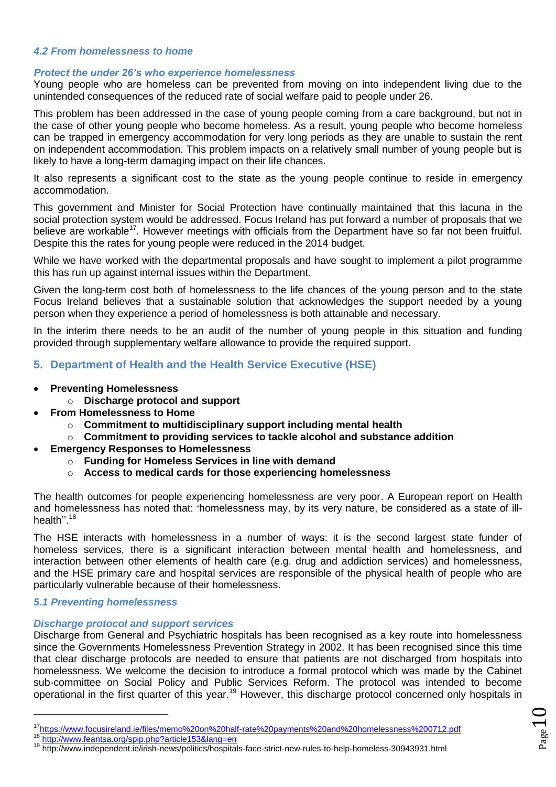## *4.2 From homelessness to home*

#### *Protect the under 26's who experience homelessness*

Young people who are homeless can be prevented from moving on into independent living due to the unintended consequences of the reduced rate of social welfare paid to people under 26.

This problem has been addressed in the case of young people coming from a care background, but not in the case of other young people who become homeless. As a result, young people who become homeless can be trapped in emergency accommodation for very long periods as they are unable to sustain the rent on independent accommodation. This problem impacts on a relatively small number of young people but is likely to have a long-term damaging impact on their life chances.

It also represents a significant cost to the state as the young people continue to reside in emergency accommodation.

This government and Minister for Social Protection have continually maintained that this lacuna in the social protection system would be addressed. Focus Ireland has put forward a number of proposals that we believe are workable<sup>17</sup>. However meetings with officials from the Department have so far not been fruitful. Despite this the rates for young people were reduced in the 2014 budget.

While we have worked with the departmental proposals and have sought to implement a pilot programme this has run up against internal issues within the Department.

Given the long-term cost both of homelessness to the life chances of the young person and to the state Focus Ireland believes that a sustainable solution that acknowledges the support needed by a young person when they experience a period of homelessness is both attainable and necessary.

In the interim there needs to be an audit of the number of young people in this situation and funding provided through supplementary welfare allowance to provide the required support.

# **5. Department of Health and the Health Service Executive (HSE)**

- **Preventing Homelessness**
	- o **Discharge protocol and support**
- **From Homelessness to Home**
	- o **Commitment to multidisciplinary support including mental health**
	- o **Commitment to providing services to tackle alcohol and substance addition**
- **Emergency Responses to Homelessness**
	- o **Funding for Homeless Services in line with demand**
	- o **Access to medical cards for those experiencing homelessness**

The health outcomes for people experiencing homelessness are very poor. A European report on Health and homelessness has noted that: "homelessness may, by its very nature, be considered as a state of illhealth".<sup>18</sup>

The HSE interacts with homelessness in a number of ways: it is the second largest state funder of homeless services, there is a significant interaction between mental health and homelessness, and interaction between other elements of health care (e.g. drug and addiction services) and homelessness, and the HSE primary care and hospital services are responsible of the physical health of people who are particularly vulnerable because of their homelessness.

# *5.1 Preventing homelessness*

-

# *Discharge protocol and support services*

Discharge from General and Psychiatric hospitals has been recognised as a key route into homelessness since the Governments Homelessness Prevention Strategy in 2002. It has been recognised since this time that clear discharge protocols are needed to ensure that patients are not discharged from hospitals into homelessness. We welcome the decision to introduce a formal protocol which was made by the Cabinet sub-committee on Social Policy and Public Services Reform. The protocol was intended to become operational in the first quarter of this year.<sup>19</sup> However, this discharge protocol concerned only hospitals in

<sup>17</sup><https://www.focusireland.ie/files/memo%20on%20half-rate%20payments%20and%20homelessness%200712.pdf>

<sup>18</sup> <http://www.feantsa.org/spip.php?article153&lang=en>

<sup>19</sup> http://www.independent.ie/irish-news/politics/hospitals-face-strict-new-rules-to-help-homeless-30943931.html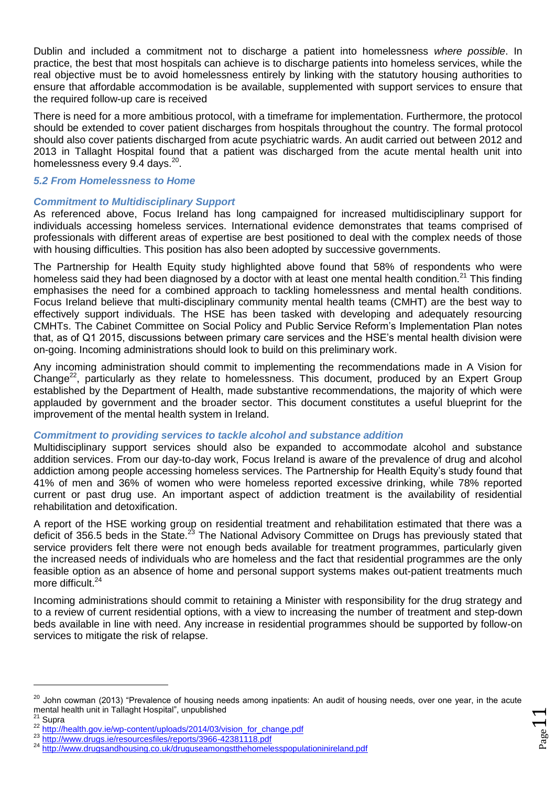Dublin and included a commitment not to discharge a patient into homelessness *where possible*. In practice, the best that most hospitals can achieve is to discharge patients into homeless services, while the real objective must be to avoid homelessness entirely by linking with the statutory housing authorities to ensure that affordable accommodation is be available, supplemented with support services to ensure that the required follow-up care is received

There is need for a more ambitious protocol, with a timeframe for implementation. Furthermore, the protocol should be extended to cover patient discharges from hospitals throughout the country. The formal protocol should also cover patients discharged from acute psychiatric wards. An audit carried out between 2012 and 2013 in Tallaght Hospital found that a patient was discharged from the acute mental health unit into homelessness every 9.4 days.<sup>20</sup>.

# *5.2 From Homelessness to Home*

## *Commitment to Multidisciplinary Support*

As referenced above, Focus Ireland has long campaigned for increased multidisciplinary support for individuals accessing homeless services. International evidence demonstrates that teams comprised of professionals with different areas of expertise are best positioned to deal with the complex needs of those with housing difficulties. This position has also been adopted by successive governments.

The Partnership for Health Equity study highlighted above found that 58% of respondents who were homeless said they had been diagnosed by a doctor with at least one mental health condition.<sup>21</sup> This finding emphasises the need for a combined approach to tackling homelessness and mental health conditions. Focus Ireland believe that multi-disciplinary community mental health teams (CMHT) are the best way to effectively support individuals. The HSE has been tasked with developing and adequately resourcing CMHTs. The Cabinet Committee on Social Policy and Public Service Reform's Implementation Plan notes that, as of Q1 2015, discussions between primary care services and the HSE's mental health division were on-going. Incoming administrations should look to build on this preliminary work.

Any incoming administration should commit to implementing the recommendations made in A Vision for Change<sup>22</sup>, particularly as they relate to homelessness. This document, produced by an Expert Group established by the Department of Health, made substantive recommendations, the majority of which were applauded by government and the broader sector. This document constitutes a useful blueprint for the improvement of the mental health system in Ireland.

#### *Commitment to providing services to tackle alcohol and substance addition*

Multidisciplinary support services should also be expanded to accommodate alcohol and substance addition services. From our day-to-day work, Focus Ireland is aware of the prevalence of drug and alcohol addiction among people accessing homeless services. The Partnership for Health Equity's study found that 41% of men and 36% of women who were homeless reported excessive drinking, while 78% reported current or past drug use. An important aspect of addiction treatment is the availability of residential rehabilitation and detoxification.

A report of the HSE working group on residential treatment and rehabilitation estimated that there was a deficit of 356.5 beds in the State.<sup>23</sup> The National Advisory Committee on Drugs has previously stated that service providers felt there were not enough beds available for treatment programmes, particularly given the increased needs of individuals who are homeless and the fact that residential programmes are the only feasible option as an absence of home and personal support systems makes out-patient treatments much more difficult.<sup>24</sup>

Incoming administrations should commit to retaining a Minister with responsibility for the drug strategy and to a review of current residential options, with a view to increasing the number of treatment and step-down beds available in line with need. Any increase in residential programmes should be supported by follow-on services to mitigate the risk of relapse.

<sup>&</sup>lt;sup>20</sup> John cowman (2013) "Prevalence of housing needs among inpatients: An audit of housing needs, over one year, in the acute mental health unit in Tallaght Hospital", unpublished<br>
<sup>21</sup> Supro Supra

<sup>22</sup> [http://health.gov.ie/wp-content/uploads/2014/03/vision\\_for\\_change.pdf](http://health.gov.ie/wp-content/uploads/2014/03/vision_for_change.pdf)

<sup>&</sup>lt;sup>23</sup> <http://www.drugs.ie/resourcesfiles/reports/3966-42381118.pdf><br><sup>24</sup> http://www.drugs.ie/resourcesfiles/reports/3966-42381118.pdf

<http://www.drugsandhousing.co.uk/druguseamongstthehomelesspopulationinireland.pdf>